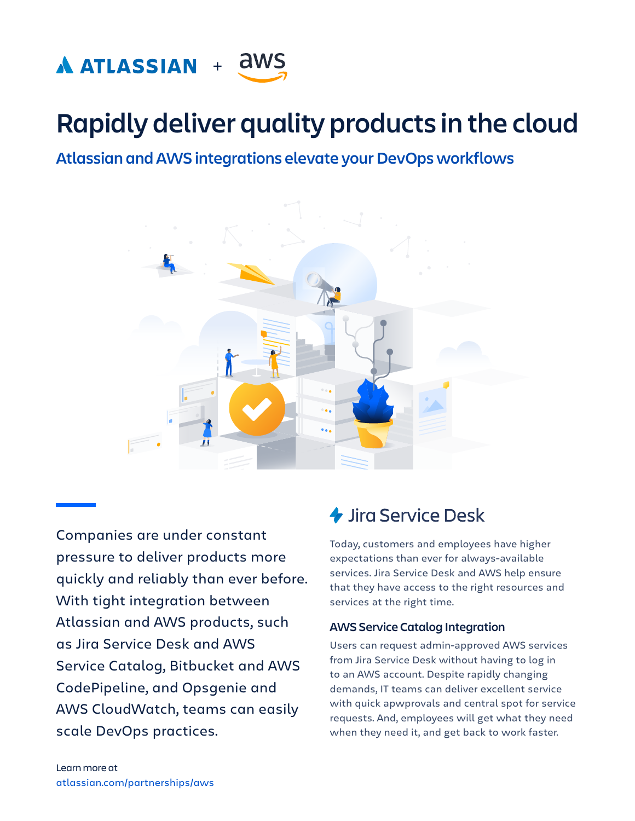

# **Rapidly deliver quality products in the cloud**

**Atlassian and AWS integrations elevate your DevOps workflows** 



Companies are under constant pressure to deliver products more quickly and reliably than ever before. With tight integration between Atlassian and AWS products, such as Jira Service Desk and AWS Service Catalog, Bitbucket and AWS CodePipeline, and Opsgenie and AWS CloudWatch, teams can easily scale DevOps practices.

### *L* Jira Service Desk

Today, customers and employees have higher expectations than ever for always-available services. Jira Service Desk and AWS help ensure that they have access to the right resources and services at the right time.

#### **AWS Service Catalog Integration**

Users can request admin-approved AWS services from Jira Service Desk without having to log in to an AWS account. Despite rapidly changing demands, IT teams can deliver excellent service with quick apwprovals and central spot for service requests. And, employees will get what they need when they need it, and get back to work faster.